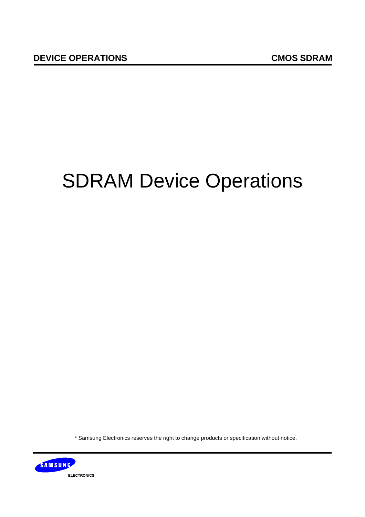# SDRAM Device Operations

\* Samsung Electronics reserves the right to change products or specification without notice.

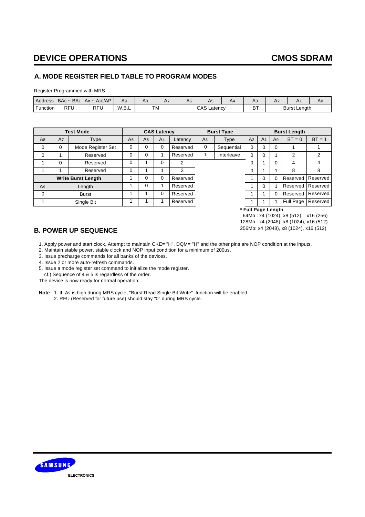### **A. MODE REGISTER FIELD TABLE TO PROGRAM MODES**

Register Programmed with MRS

| Address  | $BA0 - BA1$ | A10/AP<br>An $\sim$ | Ag    | A8 | A7 | A6 | H5                           | A4 | no      | ΠL |                     | A0 |
|----------|-------------|---------------------|-------|----|----|----|------------------------------|----|---------|----|---------------------|----|
| Function | RFU         | RFL                 | W.B.L | TM |    |    | $\sim$ 0.0<br>∟atenc∨<br>∵AS |    | DТ<br>D |    | <b>Burst Length</b> |    |

|                |                      | <b>Test Mode</b>          |             |                | <b>CAS Latency</b> |          |                | <b>Burst Type</b> | <b>Burst Length</b> |                |                |           |          |
|----------------|----------------------|---------------------------|-------------|----------------|--------------------|----------|----------------|-------------------|---------------------|----------------|----------------|-----------|----------|
| A <sub>8</sub> | A7                   | Type                      | A6          | A <sub>5</sub> | A <sub>4</sub>     | Latency  | A <sub>3</sub> | <b>Type</b>       |                     | A <sub>1</sub> | A <sub>0</sub> | $BT = 0$  | $BT = 1$ |
| $\mathbf 0$    | 0                    | Mode Register Set         | $\mathbf 0$ | $\mathbf 0$    | 0                  | Reserved | $\Omega$       | Sequential        | $\Omega$            | O              | 0              |           |          |
| $\mathbf 0$    | Reserved             |                           | 0           | $\Omega$       |                    | Reserved |                | Interleave        | 0                   | 0              |                | 2         | 2        |
|                | $\Omega$<br>Reserved |                           | 0           |                | $\mathbf 0$        | 2        |                |                   | 0                   |                | $\Omega$       | 4         | 4        |
|                |                      | Reserved                  | 0           |                |                    | 3        |                |                   | $\Omega$            |                |                | 8         | 8        |
|                |                      | <b>Write Burst Length</b> |             | $\Omega$       | $\Omega$           | Reserved |                |                   |                     | $\Omega$       |                | Reserved  | Reserved |
| A <sub>9</sub> | Length               |                           |             | $\mathbf 0$    |                    | Reserved |                |                   |                     | 0              |                | Reserved  | Reserved |
| $\mathbf 0$    | <b>Burst</b>         |                           |             |                | $\Omega$           | Reserved |                |                   |                     |                |                | Reserved  | Reserved |
|                | Single Bit           |                           |             |                |                    | Reserved |                |                   |                     |                |                | Full Page | Reserved |

**\* Full Page Length**

 64Mb : x4 (1024), x8 (512), x16 (256) 128Mb : x4 (2048), x8 (1024), x16 (512) 256Mb: x4 (2048), x8 (1024), x16 (512)

### **B. POWER UP SEQUENCE**

1. Apply power and start clock, Attempt to maintain CKE= "H", DQM= "H" and the other pins are NOP condition at the inputs.

2. Maintain stable power, stable clock and NOP input condition for a minimum of 200us.

3. Issue precharge commands for all banks of the devices.

4. Issue 2 or more auto-refresh commands.

5. Issue a mode register set command to initialize the mode register.

cf.) Sequence of 4 & 5 is regardless of the order.

The device is now ready for normal operation.



**Note** : 1. If A9 is high during MRS cycle, "Burst Read Single Bit Write" function will be enabled. 2. RFU (Reserved for future use) should stay "0" during MRS cycle.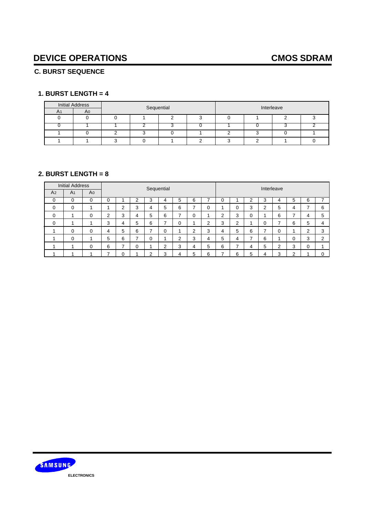### **C. BURST SEQUENCE**

### **1. BURST LENGTH = 4**

|                | <b>Initial Address</b> |            |  |  | Interleave |  |  |  |  |
|----------------|------------------------|------------|--|--|------------|--|--|--|--|
| A <sub>1</sub> | A <sub>0</sub>         | Sequential |  |  |            |  |  |  |  |
|                |                        |            |  |  |            |  |  |  |  |
|                |                        |            |  |  |            |  |  |  |  |
|                |                        |            |  |  |            |  |  |  |  |
|                |                        |            |  |  |            |  |  |  |  |

### **2. BURST LENGTH = 8**

|                | <b>Initial Address</b> |                |                | Sequential     |   |   |   |   |        |        | Interleave |                |   |   |   |   |        |          |
|----------------|------------------------|----------------|----------------|----------------|---|---|---|---|--------|--------|------------|----------------|---|---|---|---|--------|----------|
| A <sub>2</sub> | A <sub>1</sub>         | A <sub>0</sub> |                |                |   |   |   |   |        |        |            |                |   |   |   |   |        |          |
| 0              | 0                      | $\Omega$       |                |                | っ | 3 | 4 | 5 | 6      |        | 0          |                | ⌒ | 3 |   | 5 | 6      |          |
| 0              | 0                      |                |                | $\overline{2}$ | 3 | 4 | 5 | 6 | -      | 0      |            | 0              | 3 | ⌒ | 5 | 4 |        | 6        |
| 0              |                        | 0              | $\overline{2}$ | 3              | 4 | 5 | 6 |   | 0      |        | 2          | 3              | 0 |   | 6 |   | 4      | 5        |
| 0              |                        |                | 3              | 4              | 5 | 6 | - | 0 |        | C<br>∠ | 3          | $\overline{2}$ |   | 0 |   | 6 | 5      | 4        |
|                | 0                      | 0              | 4              | 5              | 6 | ⇁ | 0 |   | ◠<br>∠ | 3      | 4          | 5              | 6 |   | 0 |   | ◠      | 3        |
|                | 0                      |                | 5              | 6              | - | 0 |   | ົ | 3      | 4      | 5          | 4              | ⇁ | 6 |   | 0 | ົ<br>د | $\sim$   |
|                |                        | 0              | 6              | -              | 0 |   | ◠ | 3 | 4      | 5      | 6          | ⇁              | 4 | 5 | ◠ | 3 | 0      |          |
|                |                        |                |                | 0              |   | ົ | 3 | 4 | 5      | 6      |            | 6              | 5 | 4 | 3 | ◠ |        | $\Omega$ |

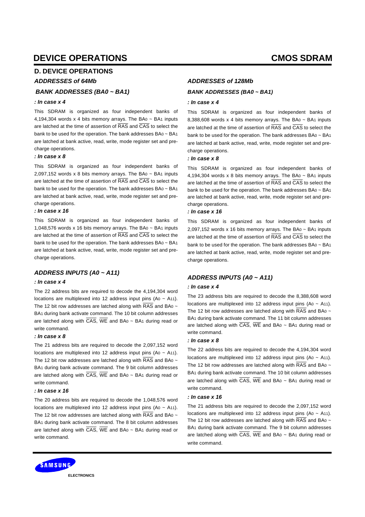### **D. DEVICE OPERATIONS**

#### *ADDRESSES of 64Mb*

#### *BANK ADDRESSES (BA0 ~ BA1)*

#### *: In case x 4*

This SDRAM is organized as four independent banks of 4,194,304 words x 4 bits memory arrays. The BA $0 \sim BA_1$  inputs are latched at the time of assertion of RAS and CAS to select the bank to be used for the operation. The bank addresses BA0 ~ BA1 are latched at bank active, read, write, mode register set and precharge operations.

#### *: In case x 8*

This SDRAM is organized as four independent banks of 2,097,152 words x 8 bits memory arrays. The BA $0 \sim BA_1$  inputs are latched at the time of assertion of RAS and CAS to select the bank to be used for the operation. The bank addresses BA0 ~ BA1 are latched at bank active, read, write, mode register set and precharge operations.

#### *: In case x 16*

This SDRAM is organized as four independent banks of 1,048,576 words x 16 bits memory arrays. The BA0 ~ BA1 inputs are latched at the time of assertion of RAS and CAS to select the bank to be used for the operation. The bank addresses BA0 ~ BA1 are latched at bank active, read, write, mode register set and precharge operations.

#### *ADDRESS INPUTS (A0 ~ A11)*

#### *: In case x 4*

The 22 address bits are required to decode the 4,194,304 word locations are multiplexed into 12 address input pins  $(A_0 \sim A_1)$ . The 12 bit row addresses are latched along with  $\overline{RAS}$  and BA0 ~ BA1 during bank activate command. The 10 bit column addresses are latched along with  $\overline{CAS}$ , WE and BA0 ~ BA1 during read or write command.

#### *: In case x 8*

The 21 address bits are required to decode the 2,097,152 word locations are multiplexed into 12 address input pins (A0 ~ A11). The 12 bit row addresses are latched along with  $\overline{RAS}$  and BA0  $\sim$ BA1 during bank activate command. The 9 bit column addresses are latched along with  $\overline{CAS}$ , WE and BA0 ~ BA1 during read or write command.

#### *: In case x 16*

The 20 address bits are required to decode the 1,048,576 word locations are multiplexed into 12 address input pins  $(A_0 - A_1)$ . The 12 bit row addresses are latched along with  $\overline{RAS}$  and BA0  $\sim$ BA1 during bank activate command. The 8 bit column addresses are latched along with CAS, WE and BA0 ~ BA1 during read or write command.

#### *ADDRESSES of 128Mb*

#### *BANK ADDRESSES (BA0 ~ BA1)*

#### *: In case x 4*

This SDRAM is organized as four independent banks of 8,388,608 words x 4 bits memory arrays. The BA $0 \sim BA_1$  inputs are latched at the time of assertion of RAS and CAS to select the bank to be used for the operation. The bank addresses BA0 ~ BA1 are latched at bank active, read, write, mode register set and precharge operations.

#### *: In case x 8*

This SDRAM is organized as four independent banks of 4,194,304 words x 8 bits memory arrays. The BA $0 \sim BA_1$  inputs are latched at the time of assertion of RAS and CAS to select the bank to be used for the operation. The bank addresses BA0 ~ BA1 are latched at bank active, read, write, mode register set and precharge operations.

#### *: In case x 16*

This SDRAM is organized as four independent banks of 2,097,152 words x 16 bits memory arrays. The BA $0 \sim BA_1$  inputs are latched at the time of assertion of RAS and CAS to select the bank to be used for the operation. The bank addresses BA0 ~ BA1 are latched at bank active, read, write, mode register set and precharge operations.

#### *ADDRESS INPUTS (A0 ~ A11)*

#### *: In case x 4*

The 23 address bits are required to decode the 8,388,608 word locations are multiplexed into 12 address input pins  $(A_0 \sim A_1)$ . The 12 bit row addresses are latched along with  $\overline{RAS}$  and BA0  $\sim$ BA1 during bank activate command. The 11 bit column addresses are latched along with  $\overline{CAS}$ , WE and BA0  $\sim$  BA1 during read or write command.

#### *: In case x 8*

The 22 address bits are required to decode the 4,194,304 word locations are multiplexed into 12 address input pins (A $0 \sim$  A $11$ ). The 12 bit row addresses are latched along with  $\overline{\text{RAS}}$  and BA0 ~ BA1 during bank activate command. The 10 bit column addresses are latched along with  $\overline{CAS}$ . WE and BA0  $\sim$  BA1 during read or write command.

#### *: In case x 16*

The 21 address bits are required to decode the 2,097,152 word locations are multiplexed into 12 address input pins (A $0 \sim$  A<sub>11</sub>). The 12 bit row addresses are latched along with  $\overline{RAS}$  and BA0  $\sim$ BA1 during bank activate command. The 9 bit column addresses are latched along with  $\overline{CAS}$ , WE and BA0 ~ BA1 during read or write command.

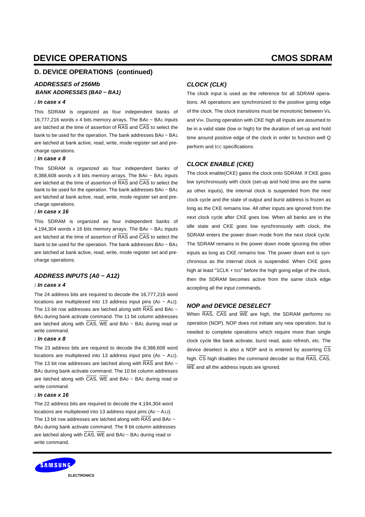### **D. DEVICE OPERATIONS (continued)**

#### *BANK ADDRESSES (BA0 ~ BA1) ADDRESSES of 256Mb*

This SDRAM is organized as four independent banks of 16,777,216 words x 4 bits memory arrays. The BA0 ~ BA1 inputs are latched at the time of assertion of RAS and CAS to select the bank to be used for the operation. The bank addresses BA0 ~ BA1 are latched at bank active, read, write, mode register set and precharge operations.

#### *: In case x 8*

This SDRAM is organized as four independent banks of 8,388,608 words x 8 bits memory arrays. The BA $0 \sim BA_1$  inputs are latched at the time of assertion of RAS and CAS to select the bank to be used for the operation. The bank addresses BA0 ~ BA1 are latched at bank active, read, write, mode register set and precharge operations.

#### *: In case x 16*

This SDRAM is organized as four independent banks of 4,194,304 words x 16 bits memory arrays. The BA0 ~ BA1 inputs are latched at the time of assertion of RAS and CAS to select the bank to be used for the operation. The bank addresses BA0 ~ BA1 are latched at bank active, read, write, mode register set and precharge operations.

#### *ADDRESS INPUTS (A0 ~ A12)*

#### *: In case x 4*

The 24 address bits are required to decode the 16,777,216 word locations are multiplexed into 13 address input pins  $(A_0 \sim A_12)$ . The 13 bit row addresses are latched along with  $\overline{\text{RAS}}$  and BA0  $\sim$ BA1 during bank activate command. The 11 bit column addresses are latched along with CAS, WE and BA0 ~ BA1 during read or write command.

#### *: In case x 8*

The 23 address bits are required to decode the 8,388,608 word locations are multiplexed into 13 address input pins  $(A_0 \sim A_12)$ . The 13 bit row addresses are latched along with  $\overline{\text{RAS}}$  and BA0 ~ BA1 during bank activate command. The 10 bit column addresses are latched along with  $\overline{CAS}$ , WE and BA0 ~ BA1 during read or write command.

#### *: In case x 16*

The 22 address bits are required to decode the 4,194,304 word locations are multiplexed into 13 address input pins (A0 ~ A12). The 13 bit row addresses are latched along with  $\overline{RAS}$  and BA0  $\sim$ BA1 during bank activate command. The 9 bit column addresses are latched along with  $\overline{CAS}$ , WE and BA0  $\sim$  BA1 during read or write command.

### *: In case x 4*

#### *CLOCK (CLK)*

The clock input is used as the reference for all SDRAM operations. All operations are synchronized to the positive going edge of the clock. The clock transitions must be monotonic between VIL and VIH. During operation with CKE high all inputs are assumed to be in a valid state (low or high) for the duration of set-up and hold time around positive edge of the clock in order to function well Q perform and ICC specifications.

#### *CLOCK ENABLE (CKE)*

The clock enable(CKE) gates the clock onto SDRAM. If CKE goes low synchronously with clock (set-up and hold time are the same as other inputs), the internal clock is suspended from the next clock cycle and the state of output and burst address is frozen as long as the CKE remains low. All other inputs are ignored from the next clock cycle after CKE goes low. When all banks are in the idle state and CKE goes low synchronously with clock, the SDRAM enters the power down mode from the next clock cycle. The SDRAM remains in the power down mode ignoring the other inputs as long as CKE remains low. The power down exit is synchronous as the internal clock is suspended. When CKE goes high at least "1CLK + tss" before the high going edge of the clock, then the SDRAM becomes active from the same clock edge accepting all the input commands.

#### *NOP and DEVICE DESELECT*

When RAS, CAS and WE are high, the SDRAM performs no operation (NOP). NOP does not initiate any new operation, but is needed to complete operations which require more than single clock cycle like bank activate, burst read, auto refresh, etc. The device deselect is also a NOP and is entered by asserting  $\overline{\text{CS}}$ high. CS high disables the command decoder so that RAS, CAS, WE and all the address inputs are ignored.

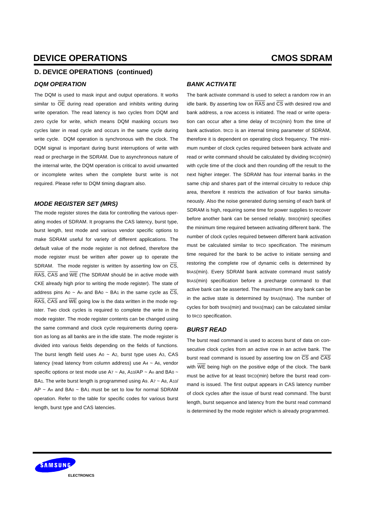### **D. DEVICE OPERATIONS (continued)**

#### *DQM OPERATION*

The DQM is used to mask input and output operations. It works similar to  $\overline{OE}$  during read operation and inhibits writing during write operation. The read latency is two cycles from DQM and zero cycle for write, which means DQM masking occurs two cycles later in read cycle and occurs in the same cycle during write cycle. DQM operation is synchronous with the clock. The DQM signal is important during burst interruptions of write with read or precharge in the SDRAM. Due to asynchronous nature of the internal write, the DQM operation is critical to avoid unwanted or incomplete writes when the complete burst write is not required. Please refer to DQM timing diagram also.

#### *MODE REGISTER SET (MRS)*

The mode register stores the data for controlling the various operating modes of SDRAM. It programs the CAS latency, burst type, burst length, test mode and various vendor specific options to make SDRAM useful for variety of different applications. The default value of the mode register is not defined, therefore the mode register must be written after power up to operate the SDRAM. The mode register is written by asserting low on  $\overline{\text{CS}}$ , RAS, CAS and WE (The SDRAM should be in active mode with CKE already high prior to writing the mode register). The state of address pins Ao ~ An and BAo ~ BA1 in the same cycle as  $\overline{CS}$ , RAS, CAS and WE going low is the data written in the mode register. Two clock cycles is required to complete the write in the mode register. The mode register contents can be changed using the same command and clock cycle requirements during operation as long as all banks are in the idle state. The mode register is divided into various fields depending on the fields of functions. The burst length field uses  $A_0 \sim A_2$ , burst type uses A<sub>3</sub>, CAS latency (read latency from column address) use A4 ~ A6, vendor specific options or test mode use A7  $\sim$  A8, A10/AP  $\sim$  An and BA0  $\sim$ BA1. The write burst length is programmed using A9.  $Ax \sim As$ , A10/  $AP \sim An$  and  $BA0 \sim BA1$  must be set to low for normal SDRAM operation. Refer to the table for specific codes for various burst length, burst type and CAS latencies.

#### *BANK ACTIVATE*

The bank activate command is used to select a random row in an idle bank. By asserting low on  $\overline{RAS}$  and  $\overline{CS}$  with desired row and bank address, a row access is initiated. The read or write operation can occur after a time delay of tRCD(min) from the time of bank activation. tRCD is an internal timing parameter of SDRAM, therefore it is dependent on operating clock frequency. The minimum number of clock cycles required between bank activate and read or write command should be calculated by dividing tRCD(min) with cycle time of the clock and then rounding off the result to the next higher integer. The SDRAM has four internal banks in the same chip and shares part of the internal circuitry to reduce chip area, therefore it restricts the activation of four banks simultaneously. Also the noise generated during sensing of each bank of SDRAM is high, requiring some time for power supplies to recover before another bank can be sensed reliably. tRRD(min) specifies the minimum time required between activating different bank. The number of clock cycles required between different bank activation must be calculated similar to tRCD specification. The minimum time required for the bank to be active to initiate sensing and restoring the complete row of dynamic cells is determined by tRAS(min). Every SDRAM bank activate command must satisfy tRAS(min) specification before a precharge command to that active bank can be asserted. The maximum time any bank can be in the active state is determined by tRAS(max). The number of cycles for both tRAS(min) and tRAS(max) can be calculated similar to tRCD specification.

#### *BURST READ*

The burst read command is used to access burst of data on consecutive clock cycles from an active row in an active bank. The burst read command is issued by asserting low on CS and CAS with  $\overline{WE}$  being high on the positive edge of the clock. The bank must be active for at least tRCD(min) before the burst read command is issued. The first output appears in CAS latency number of clock cycles after the issue of burst read command. The burst length, burst sequence and latency from the burst read command is determined by the mode register which is already programmed.

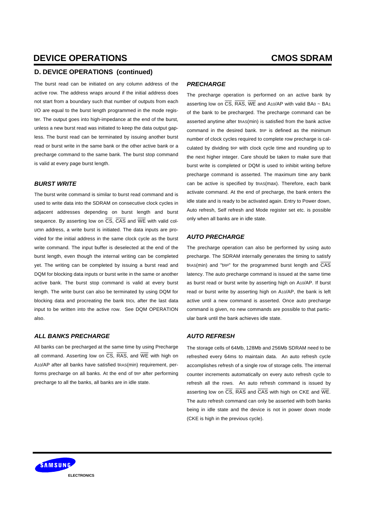#### **D. DEVICE OPERATIONS (continued)**

The burst read can be initiated on any column address of the active row. The address wraps around if the initial address does not start from a boundary such that number of outputs from each I/O are equal to the burst length programmed in the mode register. The output goes into high-impedance at the end of the burst, unless a new burst read was initiated to keep the data output gapless. The burst read can be terminated by issuing another burst read or burst write in the same bank or the other active bank or a precharge command to the same bank. The burst stop command is valid at every page burst length.

#### *BURST WRITE*

The burst write command is similar to burst read command and is used to write data into the SDRAM on consecutive clock cycles in adjacent addresses depending on burst length and burst sequence. By asserting low on  $\overline{CS}$ ,  $\overline{CAS}$  and  $\overline{WE}$  with valid column address, a write burst is initiated. The data inputs are provided for the initial address in the same clock cycle as the burst write command. The input buffer is deselected at the end of the burst length, even though the internal writing can be completed yet. The writing can be completed by issuing a burst read and DQM for blocking data inputs or burst write in the same or another active bank. The burst stop command is valid at every burst length. The write burst can also be terminated by using DQM for blocking data and procreating the bank tRDL after the last data input to be written into the active row. See DQM OPERATION also.

#### *ALL BANKS PRECHARGE*

All banks can be precharged at the same time by using Precharge all command. Asserting low on  $\overline{CS}$ ,  $\overline{RAS}$ , and  $\overline{WE}$  with high on A10/AP after all banks have satisfied tRAS(min) requirement, performs precharge on all banks. At the end of tRP after performing precharge to all the banks, all banks are in idle state.

#### *PRECHARGE*

The precharge operation is performed on an active bank by asserting low on  $\overline{CS}$ ,  $\overline{RAS}$ ,  $\overline{WE}$  and A10/AP with valid BA0 ~ BA1 of the bank to be precharged. The precharge command can be asserted anytime after tRAS(min) is satisfied from the bank active command in the desired bank. tRP is defined as the minimum number of clock cycles required to complete row precharge is calculated by dividing tRP with clock cycle time and rounding up to the next higher integer. Care should be taken to make sure that burst write is completed or DQM is used to inhibit writing before precharge command is asserted. The maximum time any bank can be active is specified by tRAS(max). Therefore, each bank activate command. At the end of precharge, the bank enters the idle state and is ready to be activated again. Entry to Power down, Auto refresh, Self refresh and Mode register set etc. is possible only when all banks are in idle state.

#### *AUTO PRECHARGE*

The precharge operation can also be performed by using auto precharge. The SDRAM internally generates the timing to satisfy tRAS(min) and "tRP" for the programmed burst length and CAS latency. The auto precharge command is issued at the same time as burst read or burst write by asserting high on A10/AP. If burst read or burst write by asserting high on A10/AP, the bank is left active until a new command is asserted. Once auto precharge command is given, no new commands are possible to that particular bank until the bank achieves idle state.

#### *AUTO REFRESH*

The storage cells of 64Mb, 128Mb and 256Mb SDRAM need to be refreshed every 64ms to maintain data. An auto refresh cycle accomplishes refresh of a single row of storage cells. The internal counter increments automatically on every auto refresh cycle to refresh all the rows. An auto refresh command is issued by asserting low on CS, RAS and CAS with high on CKE and WE. The auto refresh command can only be asserted with both banks being in idle state and the device is not in power down mode (CKE is high in the previous cycle).

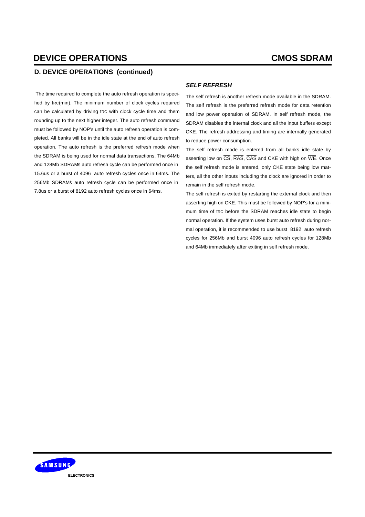### **D. DEVICE OPERATIONS (continued)**

 The time required to complete the auto refresh operation is specified by tRC(min). The minimum number of clock cycles required can be calculated by driving tRC with clock cycle time and them rounding up to the next higher integer. The auto refresh command must be followed by NOP's until the auto refresh operation is completed. All banks will be in the idle state at the end of auto refresh operation. The auto refresh is the preferred refresh mode when the SDRAM is being used for normal data transactions. The 64Mb and 128Mb SDRAMs auto refresh cycle can be performed once in ' 15.6us or a burst of 4096 auto refresh cycles once in 64ms. The 256Mb SDRAMs auto refresh cycle can be performed once in ' 7.8us or a burst of 8192 auto refresh cycles once in 64ms.

### *SELF REFRESH*

The self refresh is another refresh mode available in the SDRAM. The self refresh is the preferred refresh mode for data retention and low power operation of SDRAM. In self refresh mode, the SDRAM disables the internal clock and all the input buffers except CKE. The refresh addressing and timing are internally generated to reduce power consumption.

The self refresh mode is entered from all banks idle state by asserting low on  $\overline{CS}$ ,  $\overline{RAS}$ ,  $\overline{CAS}$  and  $CKE$  with high on  $\overline{WE}$ . Once the self refresh mode is entered, only CKE state being low matters, all the other inputs including the clock are ignored in order to remain in the self refresh mode.

The self refresh is exited by restarting the external clock and then asserting high on CKE. This must be followed by NOP's for a minimum time of tRC before the SDRAM reaches idle state to begin normal operation. If the system uses burst auto refresh during normal operation, it is recommended to use burst 8192 auto refresh cycles for 256Mb and burst 4096 auto refresh cycles for 128Mb and 64Mb immediately after exiting in self refresh mode.

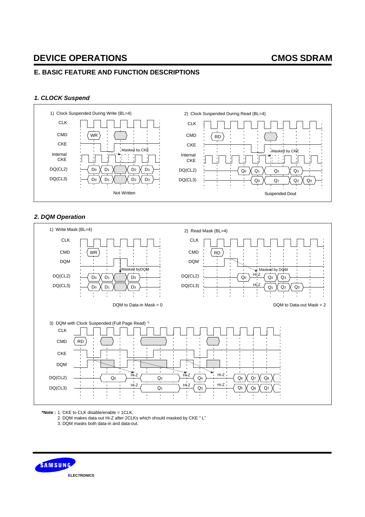### **E. BASIC FEATURE AND FUNCTION DESCRIPTIONS**

### *1. CLOCK Suspend*



### *2. DQM Operation*



**\*Note :** 1. CKE to CLK disable/enable = 1CLK.

2. DQM makes data out Hi-Z after 2CLKs which should masked by CKE " L"

3. DQM masks both data-in and data-out.

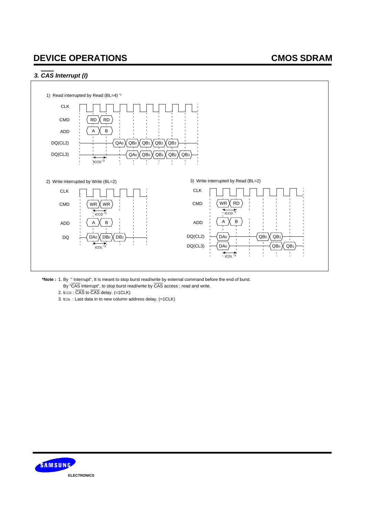### *3. CAS Interrupt (I)*



**\*Note :** 1. By " Interrupt", It is meant to stop burst read/write by external command before the end of burst.

- By "CAS Interrupt", to stop burst read/write by CAS access ; read and write.
- 2. tccp:  $\overline{CAS}$  to  $\overline{CAS}$  delay. (=1CLK)
- 3. tCDL : Last data in to new column address delay. (=1CLK)

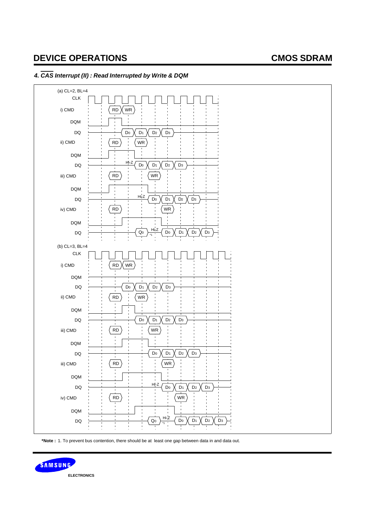

### *4. CAS Interrupt (II) : Read Interrupted by Write & DQM*

**\*Note :** 1. To prevent bus contention, there should be at least one gap between data in and data out.

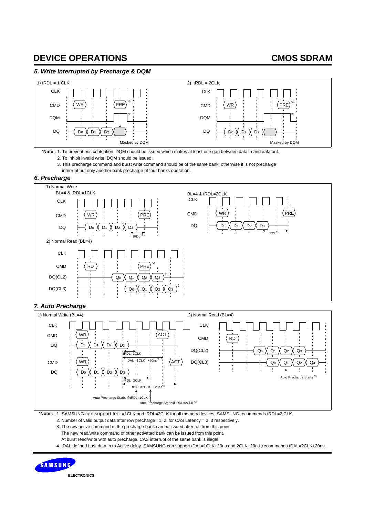### *5. Write Interrupted by Precharge & DQM*



**\*Note :** 1. To prevent bus contention, DQM should be issued which makes at least one gap between data in and data out. 2. To inhibit invalid write, DQM should be issued.

3. This precharge command and burst write command should be of the same bank, otherwise it is not precharge

interrupt but only another bank precharge of four banks operation.

#### *6. Precharge*



### *7. Auto Precharge*



**\*Note :** 1. SAMSUNG can support tRDL=1CLK and tRDL=2CLK for all memory devices. SAMSUNG recommends tRDL=2 CLK.

2. Number of valid output data after row precharge : 1, 2 for CAS Latency = 2, 3 respectively.

3. The row active command of the precharge bank can be issued after tRP from this point.

The new read/write command of other activated bank can be issued from this point.

At burst read/write with auto precharge, CAS interrupt of the same bank is illegal

4. tDAL defined Last data in to Active delay. SAMSUNG can support tDAL=1CLK+20ns and 2CLK+20ns ,recommends tDAL=2CLK+20ns.



**ELECTRONICS**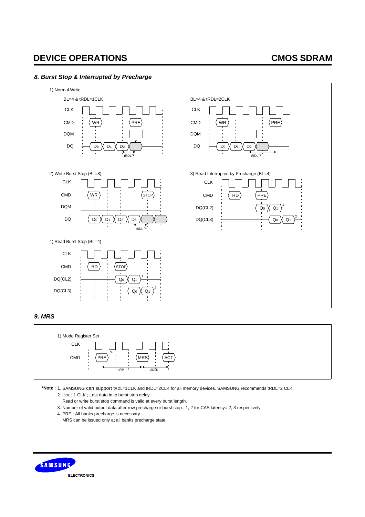### *8. Burst Stop & Interrupted by Precharge*



### *9. MRS*



**\*Note :** 1. SAMSUNG can support tRDL=1CLK and tRDL=2CLK for all memory devices. SAMSUNG recommends tRDL=2 CLK.

2. tBDL : 1 CLK ; Last data in to burst stop delay.

Read or write burst stop command is valid at every burst length.

- 3. Number of valid output data after row precharge or burst stop : 1, 2 for CAS latency= 2, 3 respectively.
- 4. PRE : All banks precharge is necessary.

MRS can be issued only at all banks precharge state.

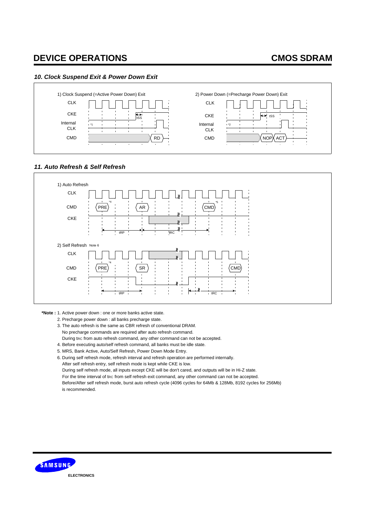### *10. Clock Suspend Exit & Power Down Exit*



#### *11. Auto Refresh & Self Refresh*



**\*Note :** 1. Active power down : one or more banks active state.

- 2. Precharge power down : all banks precharge state.
- 3. The auto refresh is the same as CBR refresh of conventional DRAM. No precharge commands are required after auto refresh command. During trc from auto refresh command, any other command can not be accepted.
- 4. Before executing auto/self refresh command, all banks must be idle state.
- 5. MRS, Bank Active, Auto/Self Refresh, Power Down Mode Entry.

6. During self refresh mode, refresh interval and refresh operation are performed internally.

After self refresh entry, self refresh mode is kept while CKE is low.

During self refresh mode, all inputs except CKE will be don't cared, and outputs will be in Hi-Z state.

For the time interval of trc from self refresh exit command, any other command can not be accepted.

 Before/After self refresh mode, burst auto refresh cycle (4096 cycles for 64Mb & 128Mb, 8192 cycles for 256Mb) is recommended.

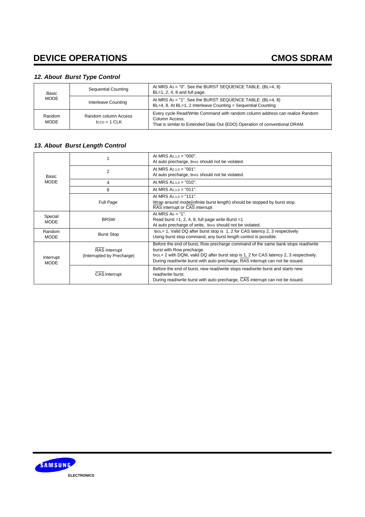### *12. About Burst Type Control*

| <b>Basic</b>          | Sequential Counting                       | At MRS $As = "0"$ . See the BURST SEQUENCE TABLE. (BL=4, 8)<br>$BL=1, 2, 4, 8$ and full page.                                                                                |  |  |  |  |  |
|-----------------------|-------------------------------------------|------------------------------------------------------------------------------------------------------------------------------------------------------------------------------|--|--|--|--|--|
| <b>MODE</b>           | Interleave Counting                       | At MRS $As = "1"$ . See the BURST SEQUENCE TABLE. (BL=4, 8)<br>BL=4, 8. At BL=1, 2 Interleave Counting = Sequential Counting                                                 |  |  |  |  |  |
| Random<br><b>MODE</b> | Random column Access<br>$t_{CCD} = 1$ CLK | Every cycle Read/Write Command with random column address can realize Random<br>Column Access.<br>That is similar to Extended Data Out (EDO) Operation of conventional DRAM. |  |  |  |  |  |

### *13. About Burst Length Control*

|                          |                                                    | At MRS $A_{2,1,0} = "000".$<br>At auto precharge, tras should not be violated.                                                                                                                                                                                                                        |
|--------------------------|----------------------------------------------------|-------------------------------------------------------------------------------------------------------------------------------------------------------------------------------------------------------------------------------------------------------------------------------------------------------|
| Basic                    | $\overline{2}$                                     | At MRS $A_{2,1,0} = "001"$ .<br>At auto precharge, tras should not be violated.                                                                                                                                                                                                                       |
| <b>MODE</b>              | 4                                                  | At MRS $A_{2,1,0} = "010"$ .                                                                                                                                                                                                                                                                          |
|                          | 8                                                  | At MRS $A_{2,1,0} = "011".$                                                                                                                                                                                                                                                                           |
|                          | Full Page                                          | At MRS $A_{2,1,0} = "111".$<br>Wrap around mode(infinite burst length) should be stopped by burst stop.<br>RAS interrupt or CAS interrupt                                                                                                                                                             |
| Special<br><b>MODE</b>   | <b>BRSW</b>                                        | At MRS $As = "1"$ .<br>Read burst =1, 2, 4, 8, full page write Burst =1<br>At auto precharge of write, tras should not be violated.                                                                                                                                                                   |
| Random<br><b>MODE</b>    | <b>Burst Stop</b>                                  | tBDL= 1, Valid DQ after burst stop is 1, 2 for CAS latency 2, 3 respectively<br>Using burst stop command, any burst length control is possible.                                                                                                                                                       |
| Interrupt<br><b>MODE</b> | <b>RAS</b> Interrupt<br>(Interrupted by Precharge) | Before the end of burst, Row precharge command of the same bank stops read/write<br>burst with Row precharge.<br>$t_{\text{RDL}}$ a 2 with DQM, valid DQ after burst stop is 1, 2 for CAS latency 2, 3 respectively.<br>During read/write burst with auto precharge, RAS interrupt can not be issued. |
|                          | <b>CAS</b> Interrupt                               | Before the end of burst, new read/write stops read/write burst and starts new<br>read/write burst.<br>During read/write burst with auto precharge, CAS interrupt can not be issued.                                                                                                                   |

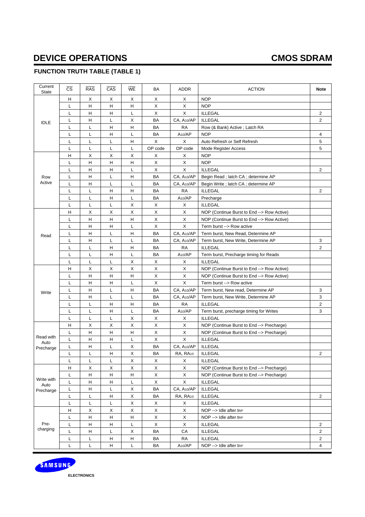## **FUNCTION TRUTH TABLE (TABLE 1)**

| Current<br><b>State</b> | $\overline{\text{cs}}$ | RAS         | $\overline{CAS}$ | <b>WE</b> | <b>BA</b>    | <b>ADDR</b>             | <b>ACTION</b>                              | <b>Note</b>    |
|-------------------------|------------------------|-------------|------------------|-----------|--------------|-------------------------|--------------------------------------------|----------------|
|                         | н                      | X           | Χ                | X         | X            | X                       | <b>NOP</b>                                 |                |
|                         | L                      | Н           | н                | H         | X            | X                       | <b>NOP</b>                                 |                |
|                         | L                      | H           | Η                | L         | X            | X                       | <b>ILLEGAL</b>                             | $\overline{c}$ |
| <b>IDLE</b>             | L                      | н           | L                | X         | BA           | CA, A10/AP              | <b>ILLEGAL</b>                             | $\overline{2}$ |
|                         | L                      | L           | н                | н         | BA           | <b>RA</b>               | Row (& Bank) Active; Latch RA              |                |
|                         | L                      | Г           | Η                | Г         | BA           | A10/AP                  | <b>NOP</b>                                 | 4              |
|                         | L                      | Г           | L                | H         | $\mathsf X$  | X                       | Auto Refresh or Self Refresh               | 5              |
|                         | L                      | L           | L                | L         | OP code      | OP code                 | <b>Mode Register Access</b>                | 5              |
|                         | н                      | X           | X                | X         | X            | X                       | <b>NOP</b>                                 |                |
|                         | Г                      | H           | н                | H         | X            | X                       | <b>NOP</b>                                 |                |
|                         | L                      | H           | н                | L         | X            | X.                      | <b>ILLEGAL</b>                             | $\overline{2}$ |
| Row                     | L                      | H           | Г                | H         | BA           | CA, A10/AP              | Begin Read; latch CA; determine AP         |                |
| Active                  | L                      | н           | Г                | Г         | BA           | CA, A <sub>10</sub> /AP | Begin Write; latch CA; determine AP        |                |
|                         | L                      | Г           | н                | H         | BA           | <b>RA</b>               | <b>ILLEGAL</b>                             | 2              |
|                         | L                      | L           | н                | L         | BA           | $A_{10}/AP$             | Precharge                                  |                |
|                         | L                      | L           | L                | X         | X            | X                       | <b>ILLEGAL</b>                             |                |
|                         | н                      | X           | X                | X         | X            | X                       | NOP (Continue Burst to End --> Row Active) |                |
|                         | L                      | H           | Н                | H         | X            | X                       | NOP (Continue Burst to End --> Row Active) |                |
|                         | L                      | Н           | H                | Г         | $\mathsf X$  | $\mathsf X$             | Term burst --> Row active                  |                |
|                         | L                      | H           | L                | H         | BA           | CA. A10/AP              | Term burst, New Read, Determine AP         |                |
| Read                    | L                      | Н           | L                | L         | BA           | CA, A10/AP              | Term burst, New Write, Determine AP        | 3              |
|                         | L                      | L           | H                | H         | BA           | RA                      | <b>ILLEGAL</b>                             | $\overline{c}$ |
|                         | L                      | L           | н                | L         | BA           | A <sub>10</sub> /AP     | Term burst, Precharge timing for Reads     |                |
|                         | L                      | L           | Г                | X         | X            | X                       | <b>ILLEGAL</b>                             |                |
|                         | н                      | Х           | X                | X         | X            | X                       | NOP (Continue Burst to End --> Row Active) |                |
|                         | L                      | н           | н                | H         | X            | X                       | NOP (Continue Burst to End --> Row Active) |                |
|                         | L                      | Н           | н                | L         | X            | X                       | Term burst --> Row active                  |                |
|                         | L                      | Н           | L                | H         | BA           | CA, A10/AP              | Term burst, New read, Determine AP         | 3              |
| Write                   | L                      | н           | L                | L         | BA           | CA, A <sub>10</sub> /AP | Term burst, New Write, Determine AP        | 3              |
|                         | L                      | Г           | н                | H         | BA           | <b>RA</b>               | <b>ILLEGAL</b>                             | $\overline{2}$ |
|                         | L                      | L           | Η                | Г         | BA           | A10/AP                  | Term burst, precharge timing for Writes    | 3              |
|                         | L                      | L           | Г                | X         | X            | X                       | <b>ILLEGAL</b>                             |                |
|                         | H                      | X           | X                | X         | $\mathsf{X}$ | X                       | NOP (Continue Burst to End --> Precharge)  |                |
|                         | L                      | H           | Н                | H         | X            | X                       | NOP (Continue Burst to End --> Precharge)  |                |
| Read with               | L                      | н           | н                | Г         | X            | X                       | <b>ILLEGAL</b>                             |                |
| Auto                    | L                      | н           | Г                | X         | BA           | CA, A10/AP              | <b>ILLEGAL</b>                             |                |
| Precharge               | Г                      | Г           | н                | X         | BA           | RA, RA10                | <b>ILLEGAL</b>                             | 2              |
|                         | L                      | L           | L                | X         | X            | X                       | <b>ILLEGAL</b>                             |                |
|                         | н                      | X           | X                | X         | $\mathsf X$  | X                       | NOP (Continue Burst to End --> Precharge)  |                |
|                         | L                      | н           | н                | H         | X            | X                       | NOP (Continue Burst to End --> Precharge)  |                |
| Write with              | $\mathsf L$            | $\mathsf H$ | Η                | Г         | $\mathsf X$  | X                       | <b>ILLEGAL</b>                             |                |
| Auto                    | L                      | н           | Г                | X         | BA           | CA, A10/AP              | <b>ILLEGAL</b>                             |                |
| Precharge               | L                      | L           | н                | X         | BA           | RA, RA10                | <b>ILLEGAL</b>                             | $\overline{2}$ |
|                         | L                      | L           | Г                | X         | X            | X                       | <b>ILLEGAL</b>                             |                |
|                         | н                      | X           | X                | X         | $\mathsf X$  | X                       | NOP --> Idle after tre                     |                |
|                         | L                      | н           | н                | H         | $\mathsf X$  | X                       | NOP --> Idle after tRP                     |                |
| Pre-                    | L                      | $\mathsf H$ | н                | Г         | X            | X                       | ILLEGAL                                    | $\overline{2}$ |
| charging                | Г                      | н           | L                | X         | BA           | CA                      | <b>ILLEGAL</b>                             | $\overline{2}$ |
|                         | Г                      | L           | н                | H         | BA           | <b>RA</b>               | <b>ILLEGAL</b>                             | $\overline{2}$ |
|                         | L                      |             |                  |           |              |                         |                                            | 4              |
|                         |                        | L           | H                | L         | BA           | A <sub>10</sub> /AP     | NOP --> Idle after tre                     |                |



**ELECTRONICS**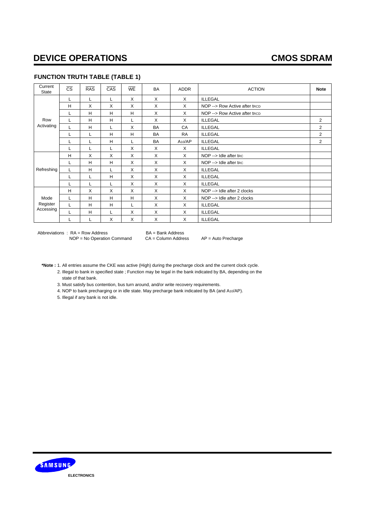### **FUNCTION TRUTH TABLE (TABLE 1)**

| Current<br><b>State</b> | $\overline{\text{cs}}$ | <b>RAS</b> | CAS | <b>WE</b> | <b>BA</b> | <b>ADDR</b>         | <b>ACTION</b>                  | <b>Note</b>    |
|-------------------------|------------------------|------------|-----|-----------|-----------|---------------------|--------------------------------|----------------|
|                         | L                      | L          | L   | X         | X         | $\times$            | <b>ILLEGAL</b>                 |                |
|                         | H                      | X          | X   | X         | X         | X                   | NOP -- > Row Active after trcp |                |
|                         | L                      | н          | H   | H         | X         | X                   | NOP --> Row Active after trcp  |                |
| Row                     |                        | H          | H   |           | X         | X                   | <b>ILLEGAL</b>                 | $\overline{2}$ |
| Activating              |                        | H          | L   | X         | <b>BA</b> | CA                  | <b>ILLEGAL</b>                 | $\overline{2}$ |
|                         |                        |            | H   | н         | <b>BA</b> | <b>RA</b>           | <b>ILLEGAL</b>                 | $\overline{2}$ |
|                         |                        |            | H   |           | <b>BA</b> | A <sub>10</sub> /AP | <b>ILLEGAL</b>                 | $\overline{2}$ |
|                         |                        |            |     | X         | X         | X                   | <b>ILLEGAL</b>                 |                |
|                         | H                      | X          | X   | X         | X         | X                   | NOP --> Idle after trc         |                |
|                         |                        | н          | H   | X         | X         | X                   | NOP -- > Idle after trc        |                |
| Refreshing              | L                      | н          | L   | X         | X         | X                   | <b>ILLEGAL</b>                 |                |
|                         |                        |            | H   | X         | X         | X                   | <b>ILLEGAL</b>                 |                |
|                         |                        |            | L   | X         | X         | X                   | <b>ILLEGAL</b>                 |                |
|                         | H                      | X          | X   | X         | X         | X                   | NOP --> Idle after 2 clocks    |                |
| Mode                    |                        | H          | H   | H         | X         | X                   | NOP --> Idle after 2 clocks    |                |
| Register                |                        | H          | H   |           | X         | X                   | <b>ILLEGAL</b>                 |                |
| Accessing               |                        | н          | L   | X         | X         | X                   | <b>ILLEGAL</b>                 |                |
|                         |                        |            | X   | X         | X         | X                   | <b>ILLEGAL</b>                 |                |

Abbreviations : RA = Row Address BA = Bank Address<br>NOP = No Operation Command CA = Column Address NOP = No Operation Command CA = Column Address AP = Auto Precharge

**\*Note :** 1. All entries assume the CKE was active (High) during the precharge clock and the current clock cycle.

2. Illegal to bank in specified state ; Function may be Iegal in the bank indicated by BA, depending on the state of that bank.

3. Must satisfy bus contention, bus turn around, and/or write recovery requirements.

4. NOP to bank precharging or in idle state. May precharge bank indicated by BA (and A10/AP).

5. Illegal if any bank is not idle.

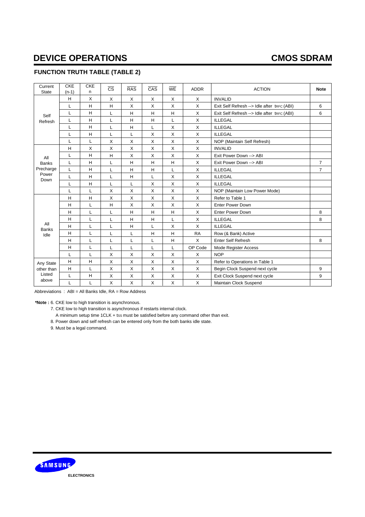### **FUNCTION TRUTH TABLE (TABLE 2)**

| Current<br><b>State</b> | <b>CKE</b><br>$(n-1)$ | <b>CKE</b><br>n | $\overline{\text{cs}}$ | <b>RAS</b>   | CAS          | WE           | <b>ADDR</b>  | <b>ACTION</b>                               | <b>Note</b>    |
|-------------------------|-----------------------|-----------------|------------------------|--------------|--------------|--------------|--------------|---------------------------------------------|----------------|
|                         | H                     | X               | X                      | X            | X            | X            | X            | <b>INVALID</b>                              |                |
|                         | L                     | H               | H                      | X            | X            | X            | X            | Exit Self Refresh --> Idle after trec (ABI) | 6              |
| Self                    | L                     | H               | L                      | H            | H            | H            | X            | Exit Self Refresh --> Idle after tRFC (ABI) | 6              |
| Refresh                 | L                     | H               | L                      | H            | H            | L            | X            | <b>ILLEGAL</b>                              |                |
|                         | L                     | H               | L                      | H            | L            | X            | X            | <b>ILLEGAL</b>                              |                |
|                         | L                     | H               | L                      | L            | X            | $\times$     | X            | <b>ILLEGAL</b>                              |                |
|                         | L                     | L               | X                      | X            | X            | X            | X            | NOP (Maintain Self Refresh)                 |                |
|                         | H                     | X               | X                      | X            | X            | $\times$     | X            | <b>INVALID</b>                              |                |
| All                     | L                     | H               | H                      | X            | X            | X            | X            | Exit Power Down -- > ABI                    |                |
| <b>Banks</b>            | L                     | H               | L                      | H            | H            | H            | X            | Exit Power Down -- > ABI                    | $\overline{7}$ |
| Precharge               | L                     | H               | L                      | H            | H            | L            | X            | <b>ILLEGAL</b>                              | $\overline{7}$ |
| Power<br>Down           | L                     | H               | L                      | н            | L            | X            | X            | <b>ILLEGAL</b>                              |                |
|                         | L                     | H               | L                      | L            | X            | $\mathsf{X}$ | X            | <b>ILLEGAL</b>                              |                |
|                         | L                     | L               | X                      | X            | X            | X            | X            | NOP (Maintain Low Power Mode)               |                |
|                         | H                     | H               | X                      | X            | X            | X            | X            | Refer to Table 1                            |                |
|                         | H                     | L               | H                      | X            | X            | $\times$     | $\mathsf{X}$ | <b>Enter Power Down</b>                     |                |
|                         | H                     | L               | L                      | H            | H            | H            | X            | Enter Power Down                            | 8              |
|                         | H                     | L               | L                      | H            | H            | L            | X            | <b>ILLEGAL</b>                              | 8              |
| All<br><b>Banks</b>     | H                     | L               | L                      | H            | L            | X            | X            | <b>ILLEGAL</b>                              |                |
| Idle                    | H                     | Г               | L                      | L            | Н            | H            | <b>RA</b>    | Row (& Bank) Active                         |                |
|                         | H                     | L               | L                      | L            | L            | H            | X            | <b>Enter Self Refresh</b>                   | 8              |
|                         | H                     | Г               | L                      | L            | Г            | L            | OP Code      | Mode Register Access                        |                |
|                         | L                     | L               | X                      | X            | X            | X            | X            | <b>NOP</b>                                  |                |
| Any State               | H                     | Н               | X                      | X            | X            | X            | X            | Refer to Operations in Table 1              |                |
| other than              | H                     | L               | X                      | X            | X            | $\times$     | X            | Begin Clock Suspend next cycle              | 9              |
| Listed                  | Г                     | Н               | Х                      | X            | X            | X            | X            | Exit Clock Suspend next cycle               | 9              |
| above                   | L                     | L               | X                      | $\mathsf{X}$ | $\mathsf{X}$ | X            | X            | Maintain Clock Suspend                      |                |

Abbreviations : ABI = All Banks Idle, RA = Row Address

**\*Note :** 6. CKE low to high transition is asynchronous.

7. CKE low to high transition is asynchronous if restarts internal clock.

A minimum setup time 1CLK + tss must be satisfied before any command other than exit.

8. Power down and self refresh can be entered only from the both banks idle state.

9. Must be a legal command.

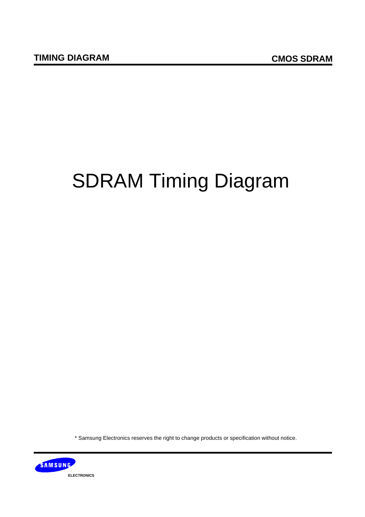# SDRAM Timing Diagram

\* Samsung Electronics reserves the right to change products or specification without notice.

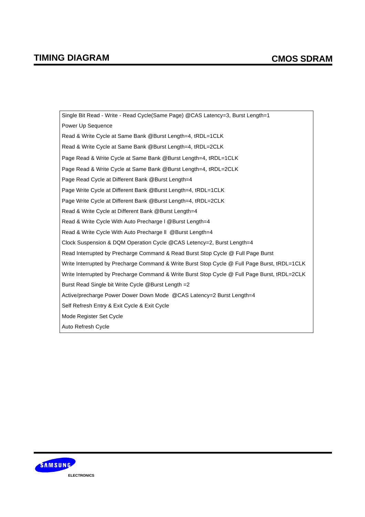Single Bit Read - Write - Read Cycle(Same Page) @CAS Latency=3, Burst Length=1 Power Up Sequence Read & Write Cycle at Same Bank @Burst Length=4, tRDL=1CLK Read & Write Cycle at Same Bank @Burst Length=4, tRDL=2CLK Page Read & Write Cycle at Same Bank @Burst Length=4, tRDL=1CLK Page Read & Write Cycle at Same Bank @Burst Length=4, tRDL=2CLK Page Read Cycle at Different Bank @Burst Length=4 Page Write Cycle at Different Bank @Burst Length=4, tRDL=1CLK Page Write Cycle at Different Bank @Burst Length=4, tRDL=2CLK Read & Write Cycle at Different Bank @Burst Length=4 Read & Write Cycle With Auto Precharge l @Burst Length=4 Read & Write Cycle With Auto Precharge ll @Burst Length=4 Clock Suspension & DQM Operation Cycle @CAS Letency=2, Burst Length=4 Read Interrupted by Precharge Command & Read Burst Stop Cycle @ Full Page Burst Write Interrupted by Precharge Command & Write Burst Stop Cycle @ Full Page Burst, tRDL=1CLK Write Interrupted by Precharge Command & Write Burst Stop Cycle @ Full Page Burst, tRDL=2CLK Burst Read Single bit Write Cycle @Burst Length =2 Active/precharge Power Dower Down Mode @CAS Latency=2 Burst Length=4 Self Refresh Entry & Exit Cycle & Exit Cycle Mode Register Set Cycle Auto Refresh Cycle

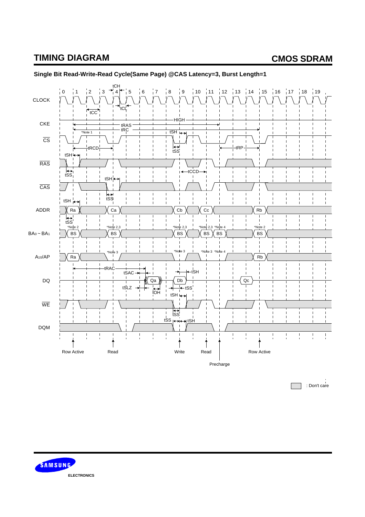

### **Single Bit Read-Write-Read Cycle(Same Page) @CAS Latency=3, Burst Length=1**

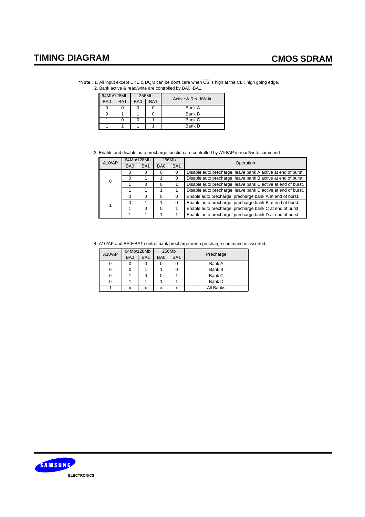|            |       | *Note: 1. All input except CKE & DQM can be don't care when CS is high at the CLK high going edge.<br>2. Bank active & read/write are controlled by BA0~BA1.                                                                                                                                                                       |  |
|------------|-------|------------------------------------------------------------------------------------------------------------------------------------------------------------------------------------------------------------------------------------------------------------------------------------------------------------------------------------|--|
| 64Mb/128Mb | 256Mb | $\mathbf{A}$ $\mathbf{B}$ $\mathbf{C}$ $\mathbf{A}$ $\mathbf{D}$ $\mathbf{A}$ $\mathbf{A}$ $\mathbf{B}$ $\mathbf{A}$ $\mathbf{B}$ $\mathbf{A}$ $\mathbf{B}$ $\mathbf{A}$ $\mathbf{B}$ $\mathbf{A}$ $\mathbf{B}$ $\mathbf{A}$ $\mathbf{B}$ $\mathbf{A}$ $\mathbf{B}$ $\mathbf{A}$ $\mathbf{B}$ $\mathbf{A}$ $\mathbf{B}$ $\mathbf{$ |  |

|                 | 64Mb/128Mb      |                 | 256Mb           | Active & Read/Write |
|-----------------|-----------------|-----------------|-----------------|---------------------|
| BA <sub>0</sub> | BA <sub>1</sub> | B <sub>A0</sub> | BA <sub>1</sub> |                     |
|                 |                 |                 |                 | Bank A              |
|                 |                 |                 |                 | Bank B              |
|                 |                 |                 |                 | Bank C              |
|                 |                 |                 |                 | Bank D              |

3. Enable and disable auto precharge function are controlled by A10/AP in read/write command

| A10/AP | 64Mb/128Mb      |                 |                 | 256Mb           | Operation                                                    |  |  |  |  |
|--------|-----------------|-----------------|-----------------|-----------------|--------------------------------------------------------------|--|--|--|--|
|        | B <sub>A0</sub> | BA <sub>1</sub> | B <sub>A0</sub> | BA <sub>1</sub> |                                                              |  |  |  |  |
|        |                 |                 | O               |                 | Disable auto precharge, leave bank A active at end of burst. |  |  |  |  |
| 0      |                 |                 |                 |                 | Disable auto precharge, leave bank B active at end of burst. |  |  |  |  |
|        |                 |                 | $\Omega$        |                 | Disable auto precharge, leave bank C active at end of burst. |  |  |  |  |
|        |                 |                 |                 |                 | Disable auto precharge, leave bank D active at end of burst. |  |  |  |  |
|        |                 |                 | $\Omega$        |                 | Enable auto precharge, precharge bank A at end of burst.     |  |  |  |  |
|        | ∩               |                 |                 |                 | Enable auto precharge, precharge bank B at end of burst.     |  |  |  |  |
|        |                 |                 | $\Omega$        |                 | Enable auto precharge, precharge bank C at end of burst.     |  |  |  |  |
|        |                 |                 |                 |                 | Enable auto precharge, precharge bank D at end of burst.     |  |  |  |  |

4. A10/AP and BA0~BA1 control bank precharge when precharge command is asserted.

| A10/AP | 64Mb/128Mb      |                 | 256Mb |                 |           |
|--------|-----------------|-----------------|-------|-----------------|-----------|
|        | BA <sub>0</sub> | BA <sub>1</sub> | BA0   | BA <sub>1</sub> | Precharge |
|        |                 |                 |       |                 | Bank A    |
|        |                 |                 |       |                 | Bank B    |
|        |                 |                 |       |                 | Bank C    |
| U      |                 |                 |       |                 | Bank D    |
|        | x               | x               | x     | X               | All Banks |

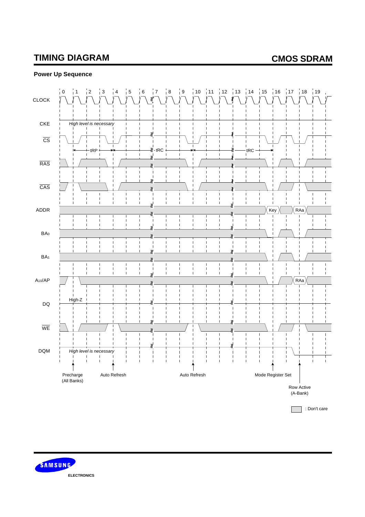### **Power Up Sequence**



SAMSUNG **ELECTRONICS**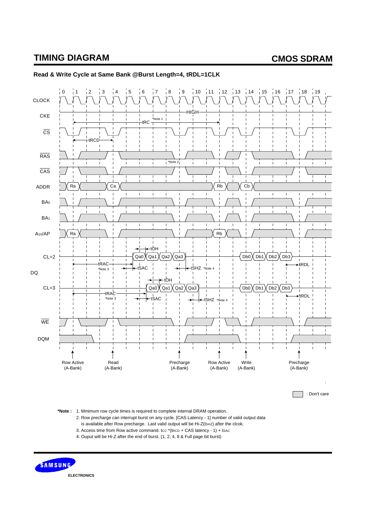

#### **Read & Write Cycle at Same Bank @Burst Length=4, tRDL=1CLK**

**\*Note :** 1. Minimum row cycle times is required to complete internal DRAM operation.

2. Row precharge can interrupt burst on any cycle. [CAS Latency - 1] number of valid output data is available after Row precharge. Last valid output will be Hi-Z(tsHz) after the clcok.

3. Access time from Row active command. tcc  $*($ tRcD + CAS latency - 1 $)$  + tsac

4. Ouput will be Hi-Z after the end of burst. (1, 2, 4, 8 & Full page bit burst)

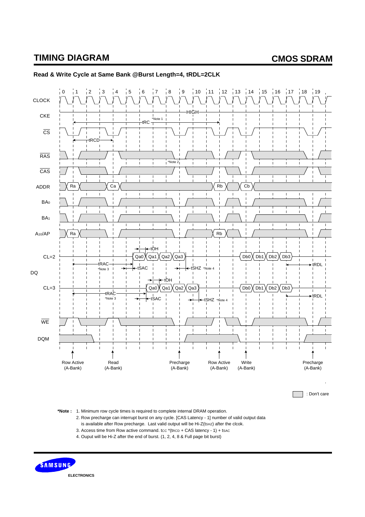

### **Read & Write Cycle at Same Bank @Burst Length=4, tRDL=2CLK**

**\*Note :** 1. Minimum row cycle times is required to complete internal DRAM operation.

2. Row precharge can interrupt burst on any cycle. [CAS Latency - 1] number of valid output data is available after Row precharge. Last valid output will be Hi-Z(tsHz) after the clcok.

- 3. Access time from Row active command. tcc  $*($ tRcD + CAS latency 1 $)$  + tsac
- 4. Ouput will be Hi-Z after the end of burst. (1, 2, 4, 8 & Full page bit burst)

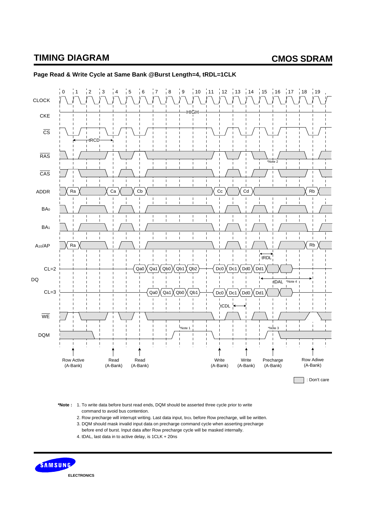

### **Page Read & Write Cycle at Same Bank @Burst Length=4, tRDL=1CLK**

**\*Note :** 1. To write data before burst read ends, DQM should be asserted three cycle prior to write command to avoid bus contention.

- 2. Row precharge will interrupt writing. Last data input, tRDL before Row precharge, will be written.
- 3. DQM should mask invalid input data on precharge command cycle when asserting precharge
- before end of burst. Input data after Row precharge cycle will be masked internally.
- 4. tDAL, last data in to active delay, is 1CLK + 20ns

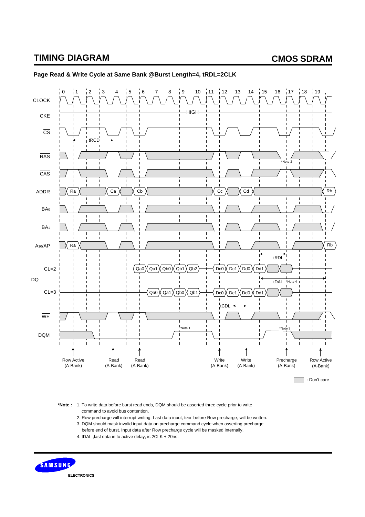

### **Page Read & Write Cycle at Same Bank @Burst Length=4, tRDL=2CLK**

**\*Note :** 1. To write data before burst read ends, DQM should be asserted three cycle prior to write command to avoid bus contention.

- 2. Row precharge will interrupt writing. Last data input, tRDL before Row precharge, will be written.
- 3. DQM should mask invalid input data on precharge command cycle when asserting precharge
- before end of burst. Input data after Row precharge cycle will be masked internally.
- 4. tDAL ,last data in to active delay, is 2CLK + 20ns.

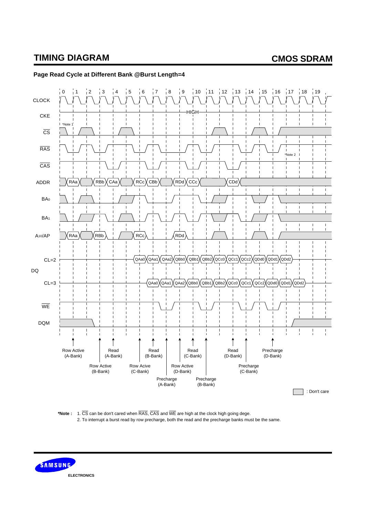

#### **Page Read Cycle at Different Bank @Burst Length=4**

**\*Note :** 1. CS can be don't cared when RAS, CAS and WE are high at the clock high going dege. 2. To interrupt a burst read by row precharge, both the read and the precharge banks must be the same.

SAMSUNG **ELECTRONICS**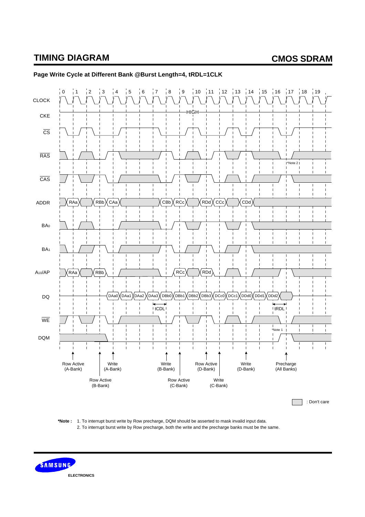

#### **Page Write Cycle at Different Bank @Burst Length=4, tRDL=1CLK**



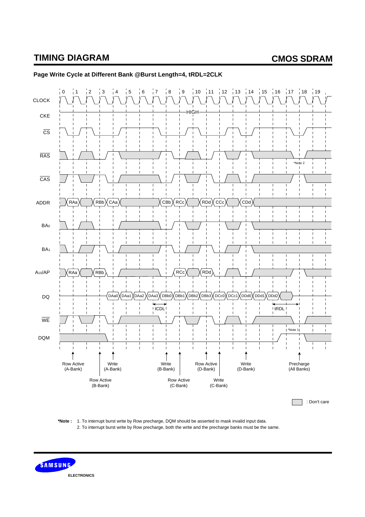

### **Page Write Cycle at Different Bank @Burst Length=4, tRDL=2CLK**



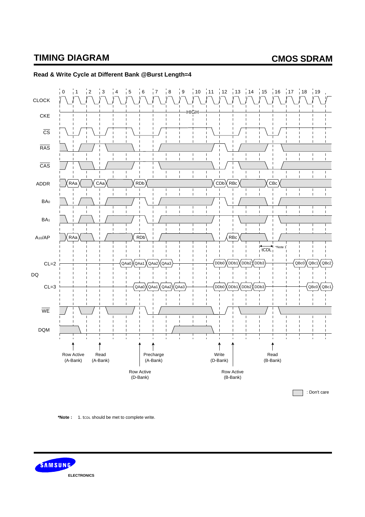

### **Read & Write Cycle at Different Bank @Burst Length=4**

**\*Note :** 1. tCDL should be met to complete write.

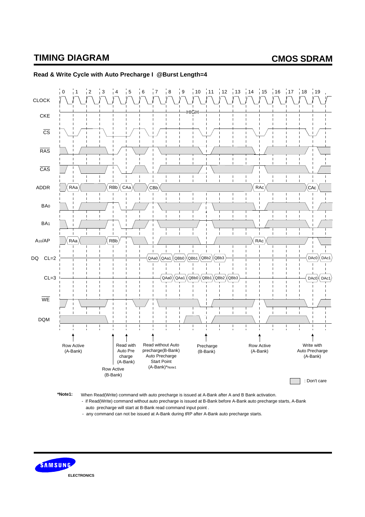

#### **Read & Write Cycle with Auto Precharge I @Burst Length=4**

**\*Note1:** When Read(Write) command with auto precharge is issued at A-Bank after A and B Bank activation.

 - if Read(Write) command without auto precharge is issued at B-Bank before A-Bank auto precharge starts, A-Bank auto precharge will start at B-Bank read command input point .

- any command can not be issued at A-Bank during tRP after A-Bank auto precharge starts.

SAMSUNG **ELECTRONICS**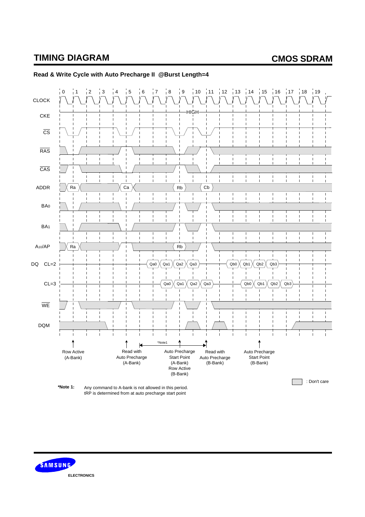

#### **Read & Write Cycle with Auto Precharge II @Burst Length=4**

SAMSUNG **ELECTRONICS**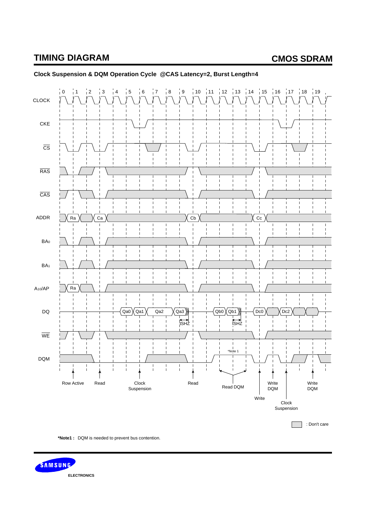

### **Clock Suspension & DQM Operation Cycle @CAS Latency=2, Burst Length=4**



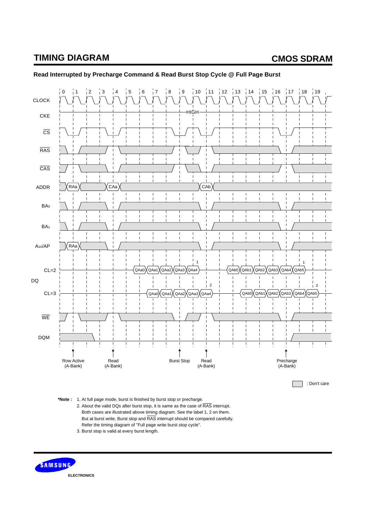

### **Read Interrupted by Precharge Command & Read Burst Stop Cycle @ Full Page Burst**

**\*Note :** 1. At full page mode, burst is finished by burst stop or precharge.

2. About the valid DQs after burst stop, it is same as the case of RAS interrupt. Both cases are illustrated above timing diagram. See the label 1, 2 on them. But at burst write, Burst stop and RAS interrupt should be compared carefully. Refer the timing diagram of "Full page write burst stop cycle".

3. Burst stop is valid at every burst length.

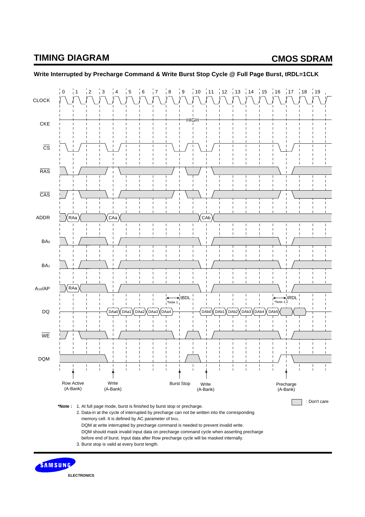

**Write Interrupted by Precharge Command & Write Burst Stop Cycle @ Full Page Burst, tRDL=1CLK**

**ELECTRONICS**

SAMSUNG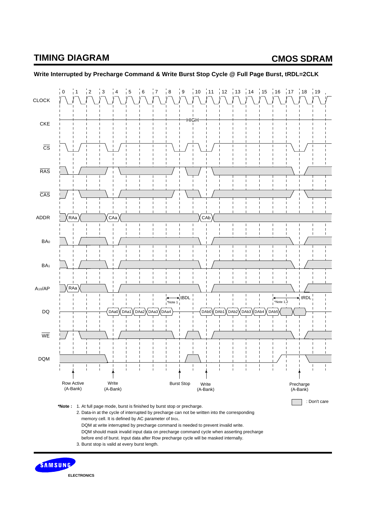

### **Write Interrupted by Precharge Command & Write Burst Stop Cycle @ Full Page Burst, tRDL=2CLK**

**ELECTRONICS**

SAMSUNG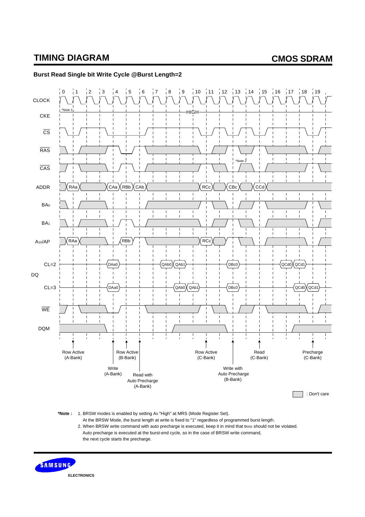

### **Burst Read Single bit Write Cycle @Burst Length=2**

**\*Note :** 1. BRSW modes is enabled by setting A9 "High" at MRS (Mode Register Set).

 At the BRSW Mode, the burst length at write is fixed to "1" regardless of programmed burst length. 2. When BRSW write command with auto precharge is executed, keep it in mind that tras should not be violated. Auto precharge is executed at the burst-end cycle, so in the case of BRSW write command, the next cycle starts the precharge.

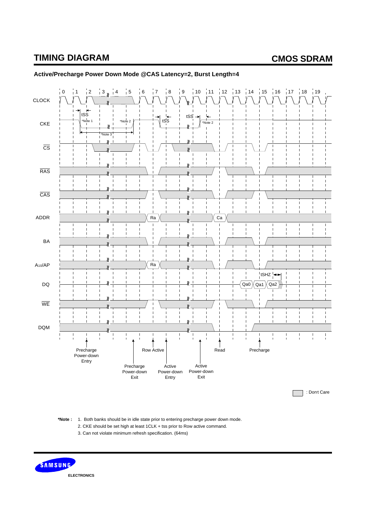

### **Active/Precharge Power Down Mode @CAS Latency=2, Burst Length=4**

**\*Note :** 1. Both banks should be in idle state prior to entering precharge power down mode.

- 2. CKE should be set high at least 1CLK + tss prior to Row active command.
	- 3. Can not violate minimum refresh specification. (64ms)

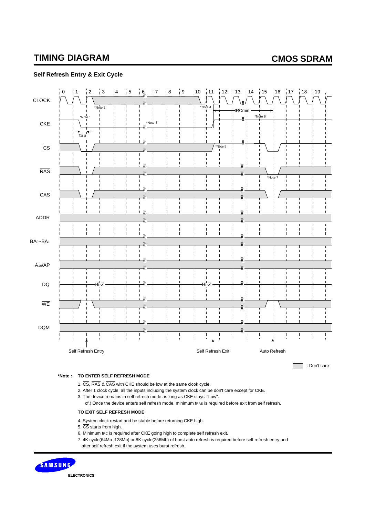#### **Self Refresh Entry & Exit Cycle**

| <b>CLOCK</b>                     | $\overline{\phantom{0}}$<br>$\overline{\phantom{a}}$<br>$\overline{4}$<br>$\frac{1}{2}$<br>$\overline{1}$<br>$*$ Note 2<br>$\mathbf{I}$<br>$\mathbf{I}$<br>$\mathbf{I}$<br>$\mathbf{I}$                                                                                                                                                                                                                                                                                                                  | $\overline{\phantom{a}}$ 7<br>$\overline{\mathbf{8}}$<br>$\overline{\phantom{0}}$ 5<br>6<br>$\mathbf{I}$<br>$\mathbf{I}$<br>$\mathbf{I}$                                                                                                                                                                                                                                                                                                                                                                                   | $\overline{9}$<br>10<br>$12 \qquad 13$<br>$-11$<br>ı<br>$\mathbf{I}$<br>*Note 4<br>I.<br>$\mathbf I$                                                                                                                                  | 15  16  17  18  19<br>14<br>$-tRCmin$<br>$\blacksquare$                                                                                                                                         | П                                                          |
|----------------------------------|----------------------------------------------------------------------------------------------------------------------------------------------------------------------------------------------------------------------------------------------------------------------------------------------------------------------------------------------------------------------------------------------------------------------------------------------------------------------------------------------------------|----------------------------------------------------------------------------------------------------------------------------------------------------------------------------------------------------------------------------------------------------------------------------------------------------------------------------------------------------------------------------------------------------------------------------------------------------------------------------------------------------------------------------|---------------------------------------------------------------------------------------------------------------------------------------------------------------------------------------------------------------------------------------|-------------------------------------------------------------------------------------------------------------------------------------------------------------------------------------------------|------------------------------------------------------------|
| <b>CKE</b>                       | *Note 1<br>П<br>$\mathbf{I}$<br>$tSS^{\blacktriangle}$<br>$\mathbf{I}$<br>$\mathbf{I}$<br>$\mathbf I$                                                                                                                                                                                                                                                                                                                                                                                                    | $\mathbf{I}$<br>П<br>*Note 3<br>$\mathbf{I}$<br>$\mathbf{I}$<br>П<br>П                                                                                                                                                                                                                                                                                                                                                                                                                                                     | $\mathbf I$<br>$\mathbf{I}$<br>$\mathbf{I}$<br>I<br>I<br>$\mathbf{I}$<br>$\mathbf{I}$<br>$\mathbf{I}$<br>П                                                                                                                            | $\mathbf{I}$<br>*Note 6<br>11                                                                                                                                                                   |                                                            |
| $\overline{\text{cs}}$           | $\mathbf{I}$<br>$\mathbf{I}$<br>$\mathbf{I}$<br>$\mathbf I$<br>$\mathbf{I}$<br>$\mathbf{I}$<br>$\mathbf I$<br>$\mathbf{I}$                                                                                                                                                                                                                                                                                                                                                                               | $\mathbf{I}$<br>Ť<br>Ī<br>$\mathbf{v}$<br>$\mathbf{I}$<br>$\mathbf{I}$<br>$\mathbf{I}$<br>$\mathbf{I}$<br>$\begin{array}{c} \rule{0pt}{2.5ex} \rule{0pt}{2.5ex} \rule{0pt}{2.5ex} \rule{0pt}{2.5ex} \rule{0pt}{2.5ex} \rule{0pt}{2.5ex} \rule{0pt}{2.5ex} \rule{0pt}{2.5ex} \rule{0pt}{2.5ex} \rule{0pt}{2.5ex} \rule{0pt}{2.5ex} \rule{0pt}{2.5ex} \rule{0pt}{2.5ex} \rule{0pt}{2.5ex} \rule{0pt}{2.5ex} \rule{0pt}{2.5ex} \rule{0pt}{2.5ex} \rule{0pt}{2.5ex} \rule{0pt}{2.5ex} \rule{0$<br>$\mathbf{I}$<br>$\mathbf{I}$ | $\mathbf{I}$<br>Ī<br>$\mathbf{I}$<br>*Note 5<br>$\mathbf{I}$<br>$\mathbf{I}$<br>I.<br>П<br>$\mathbf I$<br>$\mathbf I$<br>$\mathbf{I}$<br>П                                                                                            | П<br>$\mathbf{I}$<br>I<br>I                                                                                                                                                                     |                                                            |
| <b>RAS</b>                       | $\begin{array}{c} \hline \end{array}$<br>$\mathbf{I}$<br>$\mathbf{I}$<br>$\mathbf{I}$<br>$\mathbf I$<br>П<br>$\mathbf{I}$<br>$\mathbf{I}$                                                                                                                                                                                                                                                                                                                                                                | $\overline{1}$<br>$\mathbf{I}$<br>$\mathbf{I}$<br>$\mathbf I$<br>$\blacksquare$<br>П<br>$\mathbf{I}$<br>$\mathbf{I}$<br>$\mathbf{I}$                                                                                                                                                                                                                                                                                                                                                                                       | $\mathbf{I}$<br>$\mathbf{I}$<br>$\mathbf{I}$<br>$\mathbf{I}$<br>$\mathbf{I}$<br>$\mathbf I$<br>$\mathbf I$<br>$\mathbf I$<br>$\mathbf I$<br>$\mathbf I$<br>$\mathbf{I}$<br>$\mathbf I$<br>$\mathbf{I}$<br>$\mathbf{I}$<br>$\mathbf I$ | $\overline{\phantom{a}}$<br>П<br>*Note 7<br>$\mathbf I$<br>$\mathbf{I}$<br>$\overline{\phantom{a}}$<br>$\mathbf{I}$<br>$\mathbf{I}$<br>$\mathbf{I}$<br>$\mathbf{I}$<br>$\overline{\phantom{a}}$ | I<br>I<br>T<br>$\mathbf{I}$<br>$\mathbf{I}$                |
| CAS                              | $\mathbf{I}$<br>$\mathbf I$<br>$\mathbf{I}$<br>$\mathbf{I}$<br>$\mathbf I$<br>$\mathbf{I}$                                                                                                                                                                                                                                                                                                                                                                                                               | $\mathbf{I}$<br>Ï<br>$\mathbf I$<br><b>I</b><br>$\blacksquare$<br>$\mathbf{I}$<br>$\mathbf{I}$<br>$\mathbf{I}$                                                                                                                                                                                                                                                                                                                                                                                                             | $\mathbf{I}$<br>$\mathbf{I}$<br>$\mathbf{I}$<br>$\blacksquare$<br>$\mathbf{I}$<br>$\mathbf{I}$<br>$\mathbf{I}$<br>$\blacksquare$<br>$\mathbf{I}$<br>$\mathbf{I}$                                                                      | <b>N</b><br>$\mathbf{I}$<br>$\overline{\phantom{a}}$<br>$\mathbf{I}$<br>$\mathbf{I}$<br>$\mathbf{I}$<br>$\overline{\phantom{a}}$<br>$\mathbf{I}$<br>$\mathbf{I}$<br>Ī                           | $\mathbf I$<br>$\mathbf{I}$<br>$\mathbf I$<br>$\mathbf I$  |
| ADDR                             | $\mathbf{I}$<br>$\mathbf{I}$<br>$\mathbf I$<br>$\mathbf I$<br>$\mathbf I$<br>$\mathbf{I}$<br>$\mathbf I$<br>$\mathbf I$<br>$\mathbf I$<br>T                                                                                                                                                                                                                                                                                                                                                              | $\mathbf{I}$<br>$\mathbf I$<br>$\begin{array}{c} \rule{0pt}{2.5ex} \rule{0pt}{2.5ex} \rule{0pt}{2.5ex} \rule{0pt}{2.5ex} \rule{0pt}{2.5ex} \rule{0pt}{2.5ex} \rule{0pt}{2.5ex} \rule{0pt}{2.5ex} \rule{0pt}{2.5ex} \rule{0pt}{2.5ex} \rule{0pt}{2.5ex} \rule{0pt}{2.5ex} \rule{0pt}{2.5ex} \rule{0pt}{2.5ex} \rule{0pt}{2.5ex} \rule{0pt}{2.5ex} \rule{0pt}{2.5ex} \rule{0pt}{2.5ex} \rule{0pt}{2.5ex} \rule{0$<br>$\mathbf{I}$<br>$\mathbf{I}$<br>$\mathbf I$<br>$\mathbf{I}$<br>$\mathbf{I}$<br>T                        | $\mathbf{I}$<br>$\mathbf{I}$<br>$\mathbf I$<br>$\mathbf I$<br>$\mathbf I$<br>$\mathbf I$<br>$\mathbf I$<br>$\mathbf I$<br>$\mathbf I$<br>$\mathbf I$<br>$\mathbf I$<br>$\mathbf I$                                                    | $n_{-}$<br>$\mathbf I$<br>$\mathbf{I}$<br>$\mathbf I$<br>$\mathbf{I}$<br>$\mathbf{I}$<br>$\mathbf I$<br>$\mathbf I$<br>$\mathbf I$<br>$\mathbf I$<br>T                                          | $\mathbf I$<br>$\mathbf I$<br>$\mathbf I$<br>$\mathbf{I}$  |
| BA <sub>0</sub> ~BA <sub>1</sub> | $\mathbf{I}$<br>$\mathbf I$<br>$\mathbf{I}$<br>$\mathbf{I}$<br>Τ<br>$\mathbf{I}$<br>$\mathbf{I}$<br>$\mathbf I$<br>$\begin{array}{c} \rule{0pt}{2.5ex} \rule{0pt}{2.5ex} \rule{0pt}{2.5ex} \rule{0pt}{2.5ex} \rule{0pt}{2.5ex} \rule{0pt}{2.5ex} \rule{0pt}{2.5ex} \rule{0pt}{2.5ex} \rule{0pt}{2.5ex} \rule{0pt}{2.5ex} \rule{0pt}{2.5ex} \rule{0pt}{2.5ex} \rule{0pt}{2.5ex} \rule{0pt}{2.5ex} \rule{0pt}{2.5ex} \rule{0pt}{2.5ex} \rule{0pt}{2.5ex} \rule{0pt}{2.5ex} \rule{0pt}{2.5ex} \rule{0$<br>T | $\mathbf{I}$<br>$\mathbf{I}$<br>$\mathbf{I}$<br>$\mathbf I$<br>$\mathbf{I}$<br>$\mathbf{I}$                                                                                                                                                                                                                                                                                                                                                                                                                                | $\mathbf I$<br>$\mathbf I$<br>$\mathbf I$<br>$\mathbf I$<br>$\mathbf{I}$<br>Т<br>П<br>$\mathbf I$<br>$\mathbf{I}$<br>$\mathbf{I}$<br>T<br>$\mathbf{I}$                                                                                | $\mathbf{I}$<br>$\mathbf{I}$<br>$\mathbf{I}$<br>$\mathbf{I}$<br>$\mathbf{u}_\top$<br>$\mathbf{I}$<br>П<br>$\mathbf{I}$<br>$\mathbf{I}$<br>$\mathbf{I}$<br>$\mathbf{I}$                          | $\mathbf I$<br>$\mathbf{I}$<br>П<br>T<br>$\mathbf{I}$      |
| $A_{10}/AP$                      | $\mathbf{I}$<br>$\mathbf{I}$<br>$\mathbf{I}$                                                                                                                                                                                                                                                                                                                                                                                                                                                             |                                                                                                                                                                                                                                                                                                                                                                                                                                                                                                                            | $\overline{\phantom{a}}$<br>Ī<br>$\mathbf{I}$<br>$\mathbf{I}$<br>$\mathbf{I}$                                                                                                                                                         | $\mathbf{I}$<br>$\mathbf{I}$<br>$\mathbf{I}$<br>$\mathbf{I}$                                                                                                                                    |                                                            |
| $\mathsf{DQ}$                    | H۱۰<br>П<br>I<br>$\mathbf{I}$<br>$\mathbf{I}$                                                                                                                                                                                                                                                                                                                                                                                                                                                            |                                                                                                                                                                                                                                                                                                                                                                                                                                                                                                                            | $\mathbf{I}$<br>$\mathbf{I}$<br>I<br>I<br>$\mathbf{I}$<br>Ï<br>$\mathbf{I}$<br>$\mathbf{I}$                                                                                                                                           | П<br>$\mathbf{I}$<br>Ť<br>П<br>$\mathbf{I}$<br>$\mathbf{I}$<br>$\mathbf{I}$                                                                                                                     |                                                            |
| $\overline{\text{WE}}$           | $\mathbf I$<br>$\mathbf{I}$<br>$\mathbf{I}$<br>$\mathbf I$<br>$\mathbf{I}$<br>$\mathbf{I}$                                                                                                                                                                                                                                                                                                                                                                                                               | $\mathbf{I}$<br>$\mathbf{I}$<br><b>I</b><br>$\mathbf{I}$<br>$\mathbf{I}$<br>$\mathbf{I}$<br>$\mathbf{I}$                                                                                                                                                                                                                                                                                                                                                                                                                   | $\overline{\phantom{a}}$<br>$\mathbf{I}$<br>$\mathbf{I}$<br>$\blacksquare$<br>$\mathbf{I}$<br>$\mathbf{I}$<br>I.<br>$\mathbf{I}$<br>$\mathbf{I}$<br>$\mathbf{I}$                                                                      | $\mathcal{U}$<br>$\mathbf{I}$<br>$\mathbf{I}$<br>$\mathbf{I}$<br>$\mathbf{I}$<br>$\mathbf{I}$<br>$\mathbf{I}$<br>$\mathbf{I}$<br>$\mathbf{I}$                                                   | Ť<br>T<br>$\mathbf{I}$<br>$\mathbf{I}$                     |
| <b>DQM</b>                       | $\mathbf I$<br>$\mathbf I$<br>$\mathbf{I}$<br>I<br>$\mathbf{I}$<br>$\bar{\mathbf{I}}$<br>$\mathbf{I}$<br>$\mathbf{I}$<br>$\blacksquare$                                                                                                                                                                                                                                                                                                                                                                  | 11<br>$\mathbf I$<br>$\mathbf I$<br>$\mathbf{I}$<br>$\begin{array}{c} \hline \end{array}$<br>$\mathbf{I}$<br>$\mathbf{I}$<br>$\mathbf{I}$<br>$\mathbf{I}$                                                                                                                                                                                                                                                                                                                                                                  | $\mathbf I$<br>$\mathbf I$<br>$\mathbf I$<br>$\mathbf{I}$<br>$\mathbf{I}$<br>$\mathbf{I}$<br>$\mathbf{I}$<br>$\mathbf{I}$<br>$\blacksquare$                                                                                           | $\mathfrak{v}$<br>$\mathbf I$<br>$\mathbf{I}$<br>$\mathbf{I}$<br>$\mathbf I$<br>$\mathbf{I}$<br>$\bar{\mathbf{I}}$<br>$\mathbf{I}$<br>$\mathbf{I}$<br>$\mathbf{I}$                              | $\mathbf I$<br>$\mathbf I$<br>$\mathbf{I}$<br>$\mathbf{I}$ |
|                                  | Self Refresh Entry                                                                                                                                                                                                                                                                                                                                                                                                                                                                                       |                                                                                                                                                                                                                                                                                                                                                                                                                                                                                                                            | Self Refresh Exit                                                                                                                                                                                                                     | Auto Refresh                                                                                                                                                                                    |                                                            |

: Don't care

Г

#### **\*Note : TO ENTER SELF REFRESH MODE**

- 1. CS, RAS & CAS with CKE should be low at the same clcok cycle.
- 2. After 1 clock cycle, all the inputs including the system clock can be don't care except for CKE.
- 3. The device remains in self refresh mode as long as CKE stays "Low".
	- cf.) Once the device enters self refresh mode, minimum tras is required before exit from self refresh.

#### **TO EXIT SELF REFRESH MODE**

- 4. System clock restart and be stable before returning CKE high.
- 5. CS starts from high.
- 6. Minimum tRC is required after CKE going high to complete self refresh exit.
- 7. 4K cycle(64Mb ,128Mb) or 8K cycle(256Mb) of burst auto refresh is required before self refresh entry and after self refresh exit if the system uses burst refresh.



**ELECTRONICS**